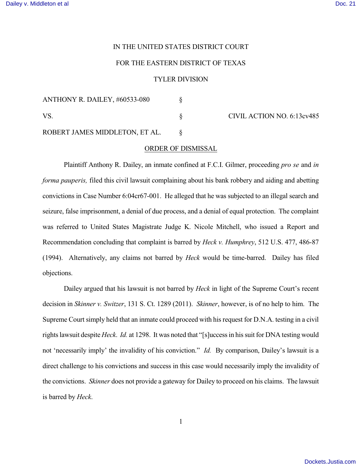## IN THE UNITED STATES DISTRICT COURT

## FOR THE EASTERN DISTRICT OF TEXAS

## TYLER DIVISION

| ANTHONY R. DAILEY, #60533-080 |  |
|-------------------------------|--|
| VS.                           |  |

 $\text{V}$ S.  $\text{CIVIL}$  ACTION NO. 6:13cv485

ROBERT JAMES MIDDLETON, ET AL. §

## ORDER OF DISMISSAL

Plaintiff Anthony R. Dailey, an inmate confined at F.C.I. Gilmer, proceeding *pro se* and *in forma pauperis,* filed this civil lawsuit complaining about his bank robbery and aiding and abetting convictions in Case Number 6:04cr67-001. He alleged that he was subjected to an illegal search and seizure, false imprisonment, a denial of due process, and a denial of equal protection. The complaint was referred to United States Magistrate Judge K. Nicole Mitchell, who issued a Report and Recommendation concluding that complaint is barred by *Heck v. Humphrey*, 512 U.S. 477, 486-87 (1994). Alternatively, any claims not barred by *Heck* would be time-barred. Dailey has filed objections.

Dailey argued that his lawsuit is not barred by *Heck* in light of the Supreme Court's recent decision in *Skinner v. Switzer*, 131 S. Ct. 1289 (2011). *Skinner*, however, is of no help to him. The Supreme Court simply held that an inmate could proceed with his request for D.N.A. testing in a civil rights lawsuit despite *Heck*. *Id.* at 1298. It was noted that "[s]uccess in his suit for DNA testing would not 'necessarily imply' the invalidity of his conviction." *Id.* By comparison, Dailey's lawsuit is a direct challenge to his convictions and success in this case would necessarily imply the invalidity of the convictions. *Skinner* does not provide a gateway for Dailey to proceed on his claims. The lawsuit is barred by *Heck*.